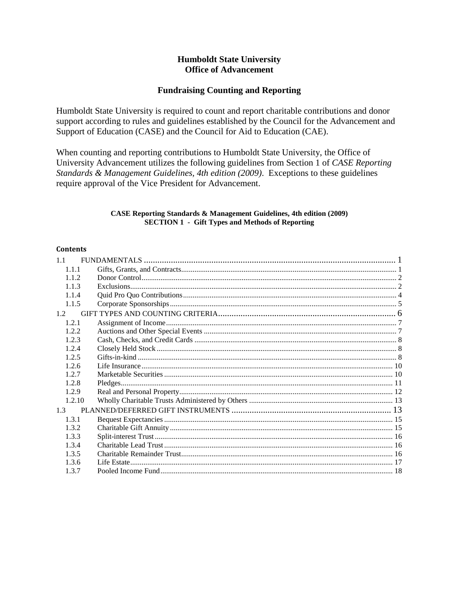# **Humboldt State University Office of Advancement**

# **Fundraising Counting and Reporting**

Humboldt State University is required to count and report charitable contributions and donor support according to rules and guidelines established by the Council for the Advancement and Support of Education (CASE) and the Council for Aid to Education (CAE).

When counting and reporting contributions to Humboldt State University, the Office of University Advancement utilizes the following guidelines from Section 1 of CASE Reporting Standards & Management Guidelines, 4th edition (2009). Exceptions to these guidelines require approval of the Vice President for Advancement.

# **CASE Reporting Standards & Management Guidelines, 4th edition (2009) SECTION 1 - Gift Types and Methods of Reporting**

# **Contents**

| 1.1    |  |
|--------|--|
| 1.1.1  |  |
| 1.1.2  |  |
| 1.1.3  |  |
| 1.1.4  |  |
| 1.1.5  |  |
| 1.2    |  |
| 1.2.1  |  |
| 1.2.2. |  |
| 1.2.3  |  |
| 1.2.4  |  |
| 1.2.5  |  |
| 1.2.6  |  |
| 1.2.7  |  |
| 1.2.8  |  |
| 1.2.9  |  |
| 1.2.10 |  |
| 1.3    |  |
| 1.3.1  |  |
| 1.3.2  |  |
| 1.3.3  |  |
| 1.3.4  |  |
| 1.3.5  |  |
| 1.3.6  |  |
| 1.3.7  |  |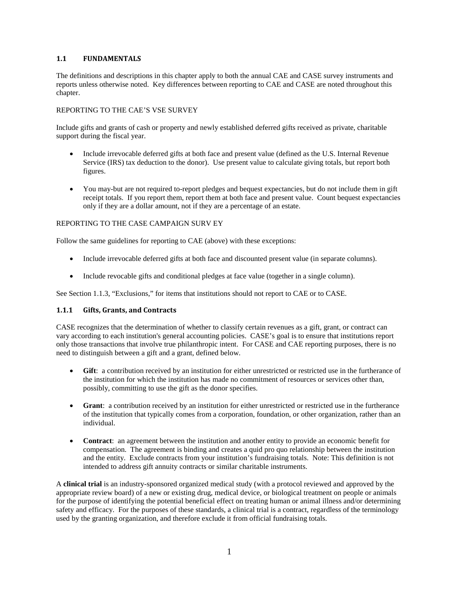# <span id="page-1-0"></span>**1.1 FUNDAMENTALS**

The definitions and descriptions in this chapter apply to both the annual CAE and CASE survey instruments and reports unless otherwise noted. Key differences between reporting to CAE and CASE are noted throughout this chapter.

### REPORTING TO THE CAE'S VSE SURVEY

Include gifts and grants of cash or property and newly established deferred gifts received as private, charitable support during the fiscal year.

- Include irrevocable deferred gifts at both face and present value (defined as the U.S. Internal Revenue Service (IRS) tax deduction to the donor). Use present value to calculate giving totals, but report both figures.
- You may-but are not required to-report pledges and bequest expectancies, but do not include them in gift receipt totals. If you report them, report them at both face and present value. Count bequest expectancies only if they are a dollar amount, not if they are a percentage of an estate.

### REPORTING TO THE CASE CAMPAIGN SURV EY

Follow the same guidelines for reporting to CAE (above) with these exceptions:

- Include irrevocable deferred gifts at both face and discounted present value (in separate columns).
- Include revocable gifts and conditional pledges at face value (together in a single column).

<span id="page-1-1"></span>See Section 1.1.3, "Exclusions," for items that institutions should not report to CAE or to CASE.

# **1.1.1 Gifts, Grants, and Contracts**

CASE recognizes that the determination of whether to classify certain revenues as a gift, grant, or contract can vary according to each institution's general accounting policies. CASE's goal is to ensure that institutions report only those transactions that involve true philanthropic intent. For CASE and CAE reporting purposes, there is no need to distinguish between a gift and a grant, defined below.

- **Gift**: a contribution received by an institution for either unrestricted or restricted use in the furtherance of the institution for which the institution has made no commitment of resources or services other than, possibly, committing to use the gift as the donor specifies.
- **Grant**: a contribution received by an institution for either unrestricted or restricted use in the furtherance of the institution that typically comes from a corporation, foundation, or other organization, rather than an individual.
- **Contract**: an agreement between the institution and another entity to provide an economic benefit for compensation. The agreement is binding and creates a quid pro quo relationship between the institution and the entity. Exclude contracts from your institution's fundraising totals. Note: This definition is not intended to address gift annuity contracts or similar charitable instruments.

A **clinical trial** is an industry-sponsored organized medical study (with a protocol reviewed and approved by the appropriate review board) of a new or existing drug, medical device, or biological treatment on people or animals for the purpose of identifying the potential beneficial effect on treating human or animal illness and/or determining safety and efficacy. For the purposes of these standards, a clinical trial is a contract, regardless of the terminology used by the granting organization, and therefore exclude it from official fundraising totals.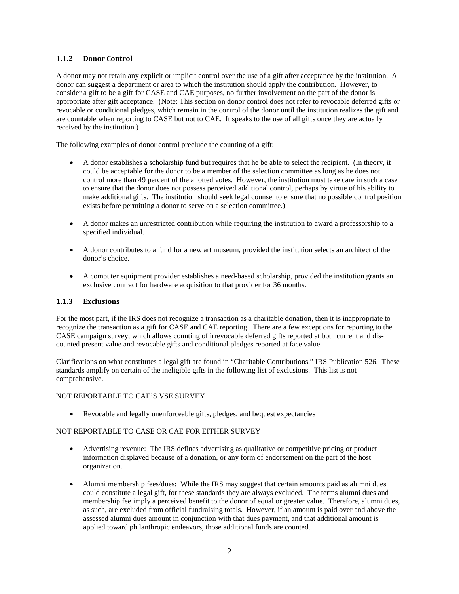# <span id="page-2-0"></span>**1.1.2 Donor Control**

A donor may not retain any explicit or implicit control over the use of a gift after acceptance by the institution. A donor can suggest a department or area to which the institution should apply the contribution. However, to consider a gift to be a gift for CASE and CAE purposes, no further involvement on the part of the donor is appropriate after gift acceptance. (Note: This section on donor control does not refer to revocable deferred gifts or revocable or conditional pledges, which remain in the control of the donor until the institution realizes the gift and are countable when reporting to CASE but not to CAE. It speaks to the use of all gifts once they are actually received by the institution.)

The following examples of donor control preclude the counting of a gift:

- A donor establishes a scholarship fund but requires that he be able to select the recipient. (In theory, it could be acceptable for the donor to be a member of the selection committee as long as he does not control more than 49 percent of the allotted votes. However, the institution must take care in such a case to ensure that the donor does not possess perceived additional control, perhaps by virtue of his ability to make additional gifts. The institution should seek legal counsel to ensure that no possible control position exists before permitting a donor to serve on a selection committee.)
- A donor makes an unrestricted contribution while requiring the institution to award a professorship to a specified individual.
- A donor contributes to a fund for a new art museum, provided the institution selects an architect of the donor's choice.
- A computer equipment provider establishes a need-based scholarship, provided the institution grants an exclusive contract for hardware acquisition to that provider for 36 months.

### <span id="page-2-1"></span>**1.1.3 Exclusions**

For the most part, if the IRS does not recognize a transaction as a charitable donation, then it is inappropriate to recognize the transaction as a gift for CASE and CAE reporting. There are a few exceptions for reporting to the CASE campaign survey, which allows counting of irrevocable deferred gifts reported at both current and discounted present value and revocable gifts and conditional pledges reported at face value.

Clarifications on what constitutes a legal gift are found in "Charitable Contributions," IRS Publication 526. These standards amplify on certain of the ineligible gifts in the following list of exclusions. This list is not comprehensive.

#### NOT REPORTABLE TO CAE'S VSE SURVEY

• Revocable and legally unenforceable gifts, pledges, and bequest expectancies

#### NOT REPORTABLE TO CASE OR CAE FOR EITHER SURVEY

- Advertising revenue: The IRS defines advertising as qualitative or competitive pricing or product information displayed because of a donation, or any form of endorsement on the part of the host organization.
- Alumni membership fees/dues: While the IRS may suggest that certain amounts paid as alumni dues could constitute a legal gift, for these standards they are always excluded. The terms alumni dues and membership fee imply a perceived benefit to the donor of equal or greater value. Therefore, alumni dues, as such, are excluded from official fundraising totals. However, if an amount is paid over and above the assessed alumni dues amount in conjunction with that dues payment, and that additional amount is applied toward philanthropic endeavors, those additional funds are counted.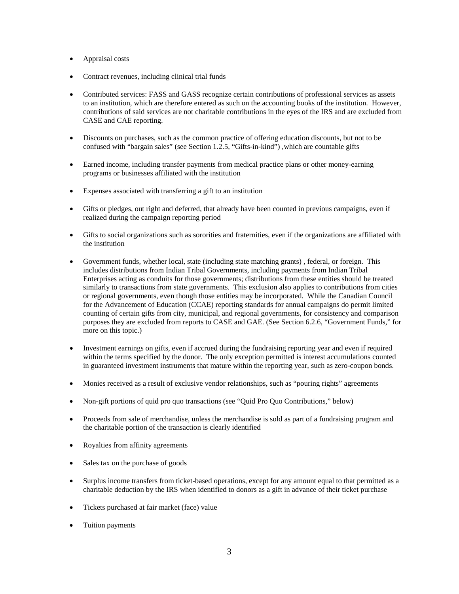- Appraisal costs
- Contract revenues, including clinical trial funds
- Contributed services: FASS and GASS recognize certain contributions of professional services as assets to an institution, which are therefore entered as such on the accounting books of the institution. However, contributions of said services are not charitable contributions in the eyes of the IRS and are excluded from CASE and CAE reporting.
- Discounts on purchases, such as the common practice of offering education discounts, but not to be confused with "bargain sales" (see Section 1.2.5, "Gifts-in-kind") ,which are countable gifts
- Earned income, including transfer payments from medical practice plans or other money-earning programs or businesses affiliated with the institution
- Expenses associated with transferring a gift to an institution
- Gifts or pledges, out right and deferred, that already have been counted in previous campaigns, even if realized during the campaign reporting period
- Gifts to social organizations such as sororities and fraternities, even if the organizations are affiliated with the institution
- Government funds, whether local, state (including state matching grants) , federal, or foreign. This includes distributions from Indian Tribal Governments, including payments from Indian Tribal Enterprises acting as conduits for those governments; distributions from these entities should be treated similarly to transactions from state governments. This exclusion also applies to contributions from cities or regional governments, even though those entities may be incorporated. While the Canadian Council for the Advancement of Education (CCAE) reporting standards for annual campaigns do permit limited counting of certain gifts from city, municipal, and regional governments, for consistency and comparison purposes they are excluded from reports to CASE and GAE. (See Section 6.2.6, "Government Funds," for more on this topic.)
- Investment earnings on gifts, even if accrued during the fundraising reporting year and even if required within the terms specified by the donor. The only exception permitted is interest accumulations counted in guaranteed investment instruments that mature within the reporting year, such as zero-coupon bonds.
- Monies received as a result of exclusive vendor relationships, such as "pouring rights" agreements
- Non-gift portions of quid pro quo transactions (see "Quid Pro Quo Contributions," below)
- Proceeds from sale of merchandise, unless the merchandise is sold as part of a fundraising program and the charitable portion of the transaction is clearly identified
- Royalties from affinity agreements
- Sales tax on the purchase of goods
- Surplus income transfers from ticket-based operations, except for any amount equal to that permitted as a charitable deduction by the IRS when identified to donors as a gift in advance of their ticket purchase
- Tickets purchased at fair market (face) value
- Tuition payments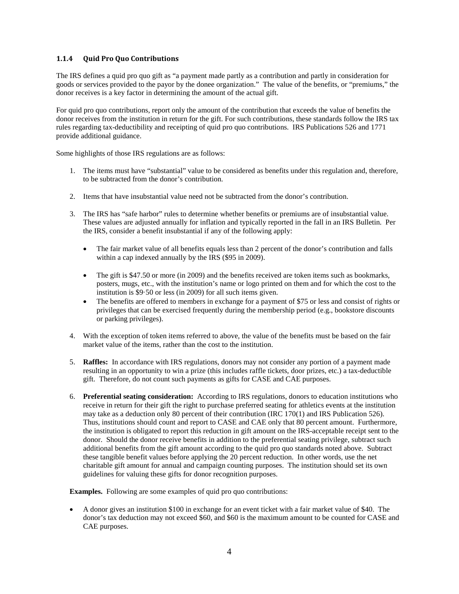# <span id="page-4-0"></span>**1.1.4 Quid Pro Quo Contributions**

The IRS defines a quid pro quo gift as "a payment made partly as a contribution and partly in consideration for goods or services provided to the payor by the donee organization." The value of the benefits, or "premiums," the donor receives is a key factor in determining the amount of the actual gift.

For quid pro quo contributions, report only the amount of the contribution that exceeds the value of benefits the donor receives from the institution in return for the gift. For such contributions, these standards follow the IRS tax rules regarding tax-deductibility and receipting of quid pro quo contributions. IRS Publications 526 and 1771 provide additional guidance.

Some highlights of those IRS regulations are as follows:

- 1. The items must have "substantial" value to be considered as benefits under this regulation and, therefore, to be subtracted from the donor's contribution.
- 2. Items that have insubstantial value need not be subtracted from the donor's contribution.
- 3. The IRS has "safe harbor" rules to determine whether benefits or premiums are of insubstantial value. These values are adjusted annually for inflation and typically reported in the fall in an IRS Bulletin. Per the IRS, consider a benefit insubstantial if any of the following apply:
	- The fair market value of all benefits equals less than 2 percent of the donor's contribution and falls within a cap indexed annually by the IRS (\$95 in 2009).
	- The gift is \$47.50 or more (in 2009) and the benefits received are token items such as bookmarks, posters, mugs, etc., with the institution's name or logo printed on them and for which the cost to the institution is \$9·50 or less (in 2009) for all such items given.
	- The benefits are offered to members in exchange for a payment of \$75 or less and consist of rights or privileges that can be exercised frequently during the membership period (e.g., bookstore discounts or parking privileges).
- 4. With the exception of token items referred to above, the value of the benefits must be based on the fair market value of the items, rather than the cost to the institution.
- 5. **Raffles:** In accordance with IRS regulations, donors may not consider any portion of a payment made resulting in an opportunity to win a prize (this includes raffle tickets, door prizes, etc.) a tax-deductible gift. Therefore, do not count such payments as gifts for CASE and CAE purposes.
- 6. **Preferential seating consideration:** According to IRS regulations, donors to education institutions who receive in return for their gift the right to purchase preferred seating for athletics events at the institution may take as a deduction only 80 percent of their contribution (IRC 170(1) and IRS Publication 526). Thus, institutions should count and report to CASE and CAE only that 80 percent amount. Furthermore, the institution is obligated to report this reduction in gift amount on the IRS-acceptable receipt sent to the donor. Should the donor receive benefits in addition to the preferential seating privilege, subtract such additional benefits from the gift amount according to the quid pro quo standards noted above. Subtract these tangible benefit values before applying the 20 percent reduction. In other words, use the net charitable gift amount for annual and campaign counting purposes. The institution should set its own guidelines for valuing these gifts for donor recognition purposes.

**Examples.** Following are some examples of quid pro quo contributions:

• A donor gives an institution \$100 in exchange for an event ticket with a fair market value of \$40. The donor's tax deduction may not exceed \$60, and \$60 is the maximum amount to be counted for CASE and CAE purposes.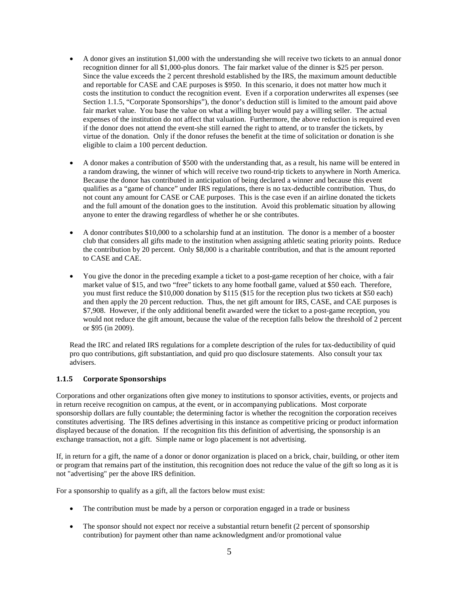- A donor gives an institution \$1,000 with the understanding she will receive two tickets to an annual donor recognition dinner for all \$1,000-plus donors. The fair market value of the dinner is \$25 per person. Since the value exceeds the 2 percent threshold established by the IRS, the maximum amount deductible and reportable for CASE and CAE purposes is \$950. In this scenario, it does not matter how much it costs the institution to conduct the recognition event. Even if a corporation underwrites all expenses (see Section 1.1.5, "Corporate Sponsorships"), the donor's deduction still is limited to the amount paid above fair market value. You base the value on what a willing buyer would pay a willing seller. The actual expenses of the institution do not affect that valuation. Furthermore, the above reduction is required even if the donor does not attend the event-she still earned the right to attend, or to transfer the tickets, by virtue of the donation. Only if the donor refuses the benefit at the time of solicitation or donation is she eligible to claim a 100 percent deduction.
- A donor makes a contribution of \$500 with the understanding that, as a result, his name will be entered in a random drawing, the winner of which will receive two round-trip tickets to anywhere in North America. Because the donor has contributed in anticipation of being declared a winner and because this event qualifies as a "game of chance" under IRS regulations, there is no tax-deductible contribution. Thus, do not count any amount for CASE or CAE purposes. This is the case even if an airline donated the tickets and the full amount of the donation goes to the institution. Avoid this problematic situation by allowing anyone to enter the drawing regardless of whether he or she contributes.
- A donor contributes \$10,000 to a scholarship fund at an institution. The donor is a member of a booster club that considers all gifts made to the institution when assigning athletic seating priority points. Reduce the contribution by 20 percent. Only \$8,000 is a charitable contribution, and that is the amount reported to CASE and CAE.
- You give the donor in the preceding example a ticket to a post-game reception of her choice, with a fair market value of \$15, and two "free" tickets to any home football game, valued at \$50 each. Therefore, you must first reduce the \$10,000 donation by \$115 (\$15 for the reception plus two tickets at \$50 each) and then apply the 20 percent reduction. Thus, the net gift amount for IRS, CASE, and CAE purposes is \$7,908. However, if the only additional benefit awarded were the ticket to a post-game reception, you would not reduce the gift amount, because the value of the reception falls below the threshold of 2 percent or \$95 (in 2009).

Read the IRC and related IRS regulations for a complete description of the rules for tax-deductibility of quid pro quo contributions, gift substantiation, and quid pro quo disclosure statements. Also consult your tax advisers.

# <span id="page-5-0"></span>**1.1.5 Corporate Sponsorships**

Corporations and other organizations often give money to institutions to sponsor activities, events, or projects and in return receive recognition on campus, at the event, or in accompanying publications. Most corporate sponsorship dollars are fully countable; the determining factor is whether the recognition the corporation receives constitutes advertising. The IRS defines advertising in this instance as competitive pricing or product information displayed because of the donation. If the recognition fits this definition of advertising, the sponsorship is an exchange transaction, not a gift. Simple name or logo placement is not advertising.

If, in return for a gift, the name of a donor or donor organization is placed on a brick, chair, building, or other item or program that remains part of the institution, this recognition does not reduce the value of the gift so long as it is not "advertising" per the above IRS definition.

For a sponsorship to qualify as a gift, all the factors below must exist:

- The contribution must be made by a person or corporation engaged in a trade or business
- The sponsor should not expect nor receive a substantial return benefit (2 percent of sponsorship contribution) for payment other than name acknowledgment and/or promotional value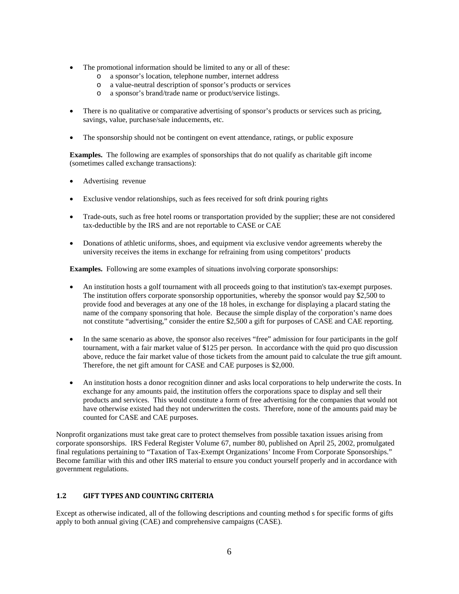- The promotional information should be limited to any or all of these:
	- o a sponsor's location, telephone number, internet address
	- o a value-neutral description of sponsor's products or services<br>  $\Omega$  a sponsor's brand/trade name or product/service listings
	- a sponsor's brand/trade name or product/service listings.
- There is no qualitative or comparative advertising of sponsor's products or services such as pricing, savings, value, purchase/sale inducements, etc.
- The sponsorship should not be contingent on event attendance, ratings, or public exposure

**Examples.** The following are examples of sponsorships that do not qualify as charitable gift income (sometimes called exchange transactions):

- Advertising revenue
- Exclusive vendor relationships, such as fees received for soft drink pouring rights
- Trade-outs, such as free hotel rooms or transportation provided by the supplier; these are not considered tax-deductible by the IRS and are not reportable to CASE or CAE
- Donations of athletic uniforms, shoes, and equipment via exclusive vendor agreements whereby the university receives the items in exchange for refraining from using competitors' products

**Examples.** Following are some examples of situations involving corporate sponsorships:

- An institution hosts a golf tournament with all proceeds going to that institution's tax-exempt purposes. The institution offers corporate sponsorship opportunities, whereby the sponsor would pay \$2,500 to provide food and beverages at any one of the 18 holes, in exchange for displaying a placard stating the name of the company sponsoring that hole. Because the simple display of the corporation's name does not constitute "advertising," consider the entire \$2,500 a gift for purposes of CASE and CAE reporting.
- In the same scenario as above, the sponsor also receives "free" admission for four participants in the golf tournament, with a fair market value of \$125 per person. In accordance with the quid pro quo discussion above, reduce the fair market value of those tickets from the amount paid to calculate the true gift amount. Therefore, the net gift amount for CASE and CAE purposes is \$2,000.
- An institution hosts a donor recognition dinner and asks local corporations to help underwrite the costs. In exchange for any amounts paid, the institution offers the corporations space to display and sell their products and services. This would constitute a form of free advertising for the companies that would not have otherwise existed had they not underwritten the costs. Therefore, none of the amounts paid may be counted for CASE and CAE purposes.

Nonprofit organizations must take great care to protect themselves from possible taxation issues arising from corporate sponsorships. IRS Federal Register Volume 67, number 80, published on April 25, 2002, promulgated final regulations pertaining to "Taxation of Tax-Exempt Organizations' Income From Corporate Sponsorships." Become familiar with this and other IRS material to ensure you conduct yourself properly and in accordance with government regulations.

# <span id="page-6-0"></span>**1.2 GIFT TYPES AND COUNTING CRITERIA**

Except as otherwise indicated, all of the following descriptions and counting method s for specific forms of gifts apply to both annual giving (CAE) and comprehensive campaigns (CASE).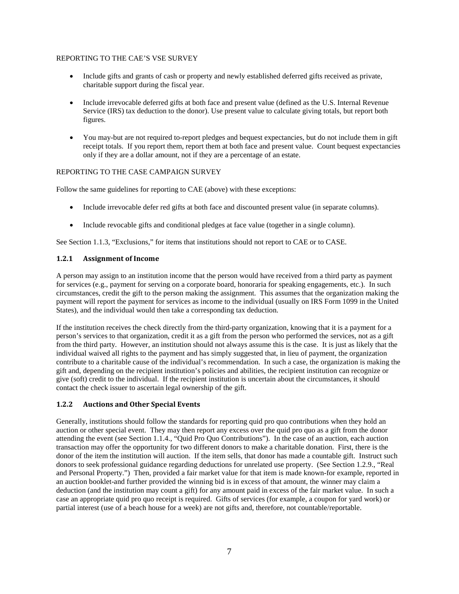# REPORTING TO THE CAE'S VSE SURVEY

- Include gifts and grants of cash or property and newly established deferred gifts received as private, charitable support during the fiscal year.
- Include irrevocable deferred gifts at both face and present value (defined as the U.S. Internal Revenue Service (IRS) tax deduction to the donor). Use present value to calculate giving totals, but report both figures.
- You may-but are not required to-report pledges and bequest expectancies, but do not include them in gift receipt totals. If you report them, report them at both face and present value. Count bequest expectancies only if they are a dollar amount, not if they are a percentage of an estate.

### REPORTING TO THE CASE CAMPAIGN SURVEY

Follow the same guidelines for reporting to CAE (above) with these exceptions:

- Include irrevocable defer red gifts at both face and discounted present value (in separate columns).
- Include revocable gifts and conditional pledges at face value (together in a single column).

<span id="page-7-0"></span>See Section 1.1.3, "Exclusions," for items that institutions should not report to CAE or to CASE.

### **1.2.1 Assignment of Income**

A person may assign to an institution income that the person would have received from a third party as payment for services (e.g., payment for serving on a corporate board, honoraria for speaking engagements, etc.). In such circumstances, credit the gift to the person making the assignment. This assumes that the organization making the payment will report the payment for services as income to the individual (usually on IRS Form 1099 in the United States), and the individual would then take a corresponding tax deduction.

If the institution receives the check directly from the third-party organization, knowing that it is a payment for a person's services to that organization, credit it as a gift from the person who performed the services, not as a gift from the third party. However, an institution should not always assume this is the case. It is just as likely that the individual waived all rights to the payment and has simply suggested that, in lieu of payment, the organization contribute to a charitable cause of the individual's recommendation. In such a case, the organization is making the gift and, depending on the recipient institution's policies and abilities, the recipient institution can recognize or give (soft) credit to the individual. If the recipient institution is uncertain about the circumstances, it should contact the check issuer to ascertain legal ownership of the gift.

# <span id="page-7-1"></span>**1.2.2 Auctions and Other Special Events**

Generally, institutions should follow the standards for reporting quid pro quo contributions when they hold an auction or other special event. They may then report any excess over the quid pro quo as a gift from the donor attending the event (see Section 1.1.4., "Quid Pro Quo Contributions"). In the case of an auction, each auction transaction may offer the opportunity for two different donors to make a charitable donation. First, there is the donor of the item the institution will auction. If the item sells, that donor has made a countable gift. Instruct such donors to seek professional guidance regarding deductions for unrelated use property. (See Section 1.2.9., "Real and Personal Property.") Then, provided a fair market value for that item is made known-for example, reported in an auction booklet-and further provided the winning bid is in excess of that amount, the winner may claim a deduction (and the institution may count a gift) for any amount paid in excess of the fair market value. In such a case an appropriate quid pro quo receipt is required. Gifts of services (for example, a coupon for yard work) or partial interest (use of a beach house for a week) are not gifts and, therefore, not countable/reportable.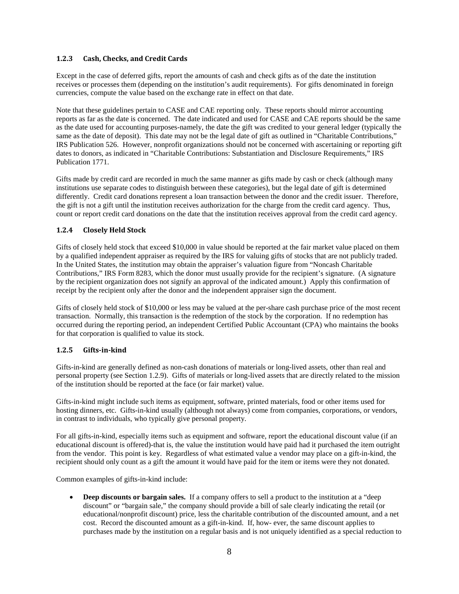### <span id="page-8-0"></span>**1.2.3 Cash, Checks, and Credit Cards**

Except in the case of deferred gifts, report the amounts of cash and check gifts as of the date the institution receives or processes them (depending on the institution's audit requirements). For gifts denominated in foreign currencies, compute the value based on the exchange rate in effect on that date.

Note that these guidelines pertain to CASE and CAE reporting only. These reports should mirror accounting reports as far as the date is concerned. The date indicated and used for CASE and CAE reports should be the same as the date used for accounting purposes-namely, the date the gift was credited to your general ledger (typically the same as the date of deposit). This date may not be the legal date of gift as outlined in "Charitable Contributions," IRS Publication 526. However, nonprofit organizations should not be concerned with ascertaining or reporting gift dates to donors, as indicated in "Charitable Contributions: Substantiation and Disclosure Requirements," IRS Publication 1771.

Gifts made by credit card are recorded in much the same manner as gifts made by cash or check (although many institutions use separate codes to distinguish between these categories), but the legal date of gift is determined differently. Credit card donations represent a loan transaction between the donor and the credit issuer. Therefore, the gift is not a gift until the institution receives authorization for the charge from the credit card agency. Thus, count or report credit card donations on the date that the institution receives approval from the credit card agency.

# <span id="page-8-1"></span>**1.2.4 Closely Held Stock**

Gifts of closely held stock that exceed \$10,000 in value should be reported at the fair market value placed on them by a qualified independent appraiser as required by the IRS for valuing gifts of stocks that are not publicly traded. In the United States, the institution may obtain the appraiser's valuation figure from "Noncash Charitable Contributions," IRS Form 8283, which the donor must usually provide for the recipient's signature. (A signature by the recipient organization does not signify an approval of the indicated amount.) Apply this confirmation of receipt by the recipient only after the donor and the independent appraiser sign the document.

Gifts of closely held stock of \$10,000 or less may be valued at the per-share cash purchase price of the most recent transaction. Normally, this transaction is the redemption of the stock by the corporation. If no redemption has occurred during the reporting period, an independent Certified Public Accountant (CPA) who maintains the books for that corporation is qualified to value its stock.

#### <span id="page-8-2"></span>**1.2.5 Gifts-in-kind**

Gifts-in-kind are generally defined as non-cash donations of materials or long-lived assets, other than real and personal property (see Section 1.2.9). Gifts of materials or long-lived assets that are directly related to the mission of the institution should be reported at the face (or fair market) value.

Gifts-in-kind might include such items as equipment, software, printed materials, food or other items used for hosting dinners, etc. Gifts-in-kind usually (although not always) come from companies, corporations, or vendors, in contrast to individuals, who typically give personal property.

For all gifts-in-kind, especially items such as equipment and software, report the educational discount value (if an educational discount is offered)-that is, the value the institution would have paid had it purchased the item outright from the vendor. This point is key. Regardless of what estimated value a vendor may place on a gift-in-kind, the recipient should only count as a gift the amount it would have paid for the item or items were they not donated.

Common examples of gifts-in-kind include:

• **Deep discounts or bargain sales.** If a company offers to sell a product to the institution at a "deep" discount" or "bargain sale," the company should provide a bill of sale clearly indicating the retail (or educational/nonprofit discount) price, less the charitable contribution of the discounted amount, and a net cost. Record the discounted amount as a gift-in-kind. If, how- ever, the same discount applies to purchases made by the institution on a regular basis and is not uniquely identified as a special reduction to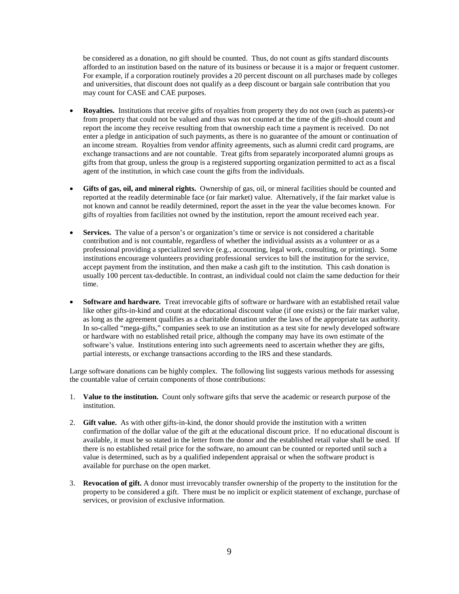be considered as a donation, no gift should be counted. Thus, do not count as gifts standard discounts afforded to an institution based on the nature of its business or because it is a major or frequent customer. For example, if a corporation routinely provides a 20 percent discount on all purchases made by colleges and universities, that discount does not qualify as a deep discount or bargain sale contribution that you may count for CASE and CAE purposes.

- **Royalties.** Institutions that receive gifts of royalties from property they do not own (such as patents)-or from property that could not be valued and thus was not counted at the time of the gift-should count and report the income they receive resulting from that ownership each time a payment is received. Do not enter a pledge in anticipation of such payments, as there is no guarantee of the amount or continuation of an income stream. Royalties from vendor affinity agreements, such as alumni credit card programs, are exchange transactions and are not countable. Treat gifts from separately incorporated alumni groups as gifts from that group, unless the group is a registered supporting organization permitted to act as a fiscal agent of the institution, in which case count the gifts from the individuals.
- **Gifts of gas, oil, and mineral rights.** Ownership of gas, oil, or mineral facilities should be counted and reported at the readily determinable face (or fair market) value. Alternatively, if the fair market value is not known and cannot be readily determined, report the asset in the year the value becomes known. For gifts of royalties from facilities not owned by the institution, report the amount received each year.
- **Services.** The value of a person's or organization's time or service is not considered a charitable contribution and is not countable, regardless of whether the individual assists as a volunteer or as a professional providing a specialized service (e.g., accounting, legal work, consulting, or printing). Some institutions encourage volunteers providing professional services to bill the institution for the service, accept payment from the institution, and then make a cash gift to the institution. This cash donation is usually 100 percent tax-deductible. In contrast, an individual could not claim the same deduction for their time.
- **Software and hardware.** Treat irrevocable gifts of software or hardware with an established retail value like other gifts-in-kind and count at the educational discount value (if one exists) or the fair market value, as long as the agreement qualifies as a charitable donation under the laws of the appropriate tax authority. In so-called "mega-gifts," companies seek to use an institution as a test site for newly developed software or hardware with no established retail price, although the company may have its own estimate of the software's value. Institutions entering into such agreements need to ascertain whether they are gifts, partial interests, or exchange transactions according to the IRS and these standards.

Large software donations can be highly complex. The following list suggests various methods for assessing the countable value of certain components of those contributions:

- 1. **Value to the institution.** Count only software gifts that serve the academic or research purpose of the institution.
- 2. **Gift value.** As with other gifts-in-kind, the donor should provide the institution with a written confirmation of the dollar value of the gift at the educational discount price. If no educational discount is available, it must be so stated in the letter from the donor and the established retail value shall be used. If there is no established retail price for the software, no amount can be counted or reported until such a value is determined, such as by a qualified independent appraisal or when the software product is available for purchase on the open market.
- 3. **Revocation of gift.** A donor must irrevocably transfer ownership of the property to the institution for the property to be considered a gift. There must be no implicit or explicit statement of exchange, purchase of services, or provision of exclusive information.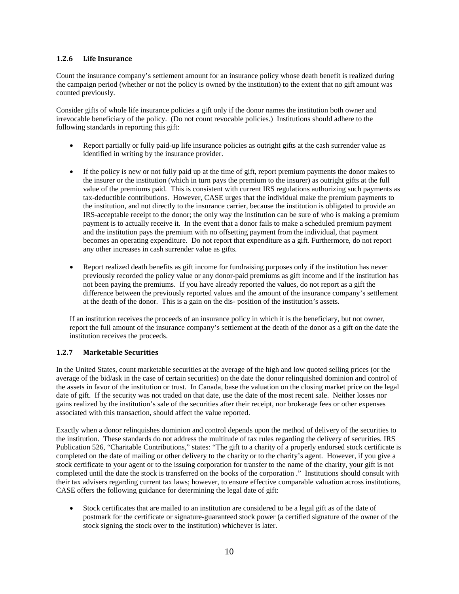### <span id="page-10-0"></span>**1.2.6 Life Insurance**

Count the insurance company's settlement amount for an insurance policy whose death benefit is realized during the campaign period (whether or not the policy is owned by the institution) to the extent that no gift amount was counted previously.

Consider gifts of whole life insurance policies a gift only if the donor names the institution both owner and irrevocable beneficiary of the policy. (Do not count revocable policies.) Institutions should adhere to the following standards in reporting this gift:

- Report partially or fully paid-up life insurance policies as outright gifts at the cash surrender value as identified in writing by the insurance provider.
- If the policy is new or not fully paid up at the time of gift, report premium payments the donor makes to the insurer or the institution (which in turn pays the premium to the insurer) as outright gifts at the full value of the premiums paid. This is consistent with current IRS regulations authorizing such payments as tax-deductible contributions. However, CASE urges that the individual make the premium payments to the institution, and not directly to the insurance carrier, because the institution is obligated to provide an IRS-acceptable receipt to the donor; the only way the institution can be sure of who is making a premium payment is to actually receive it. In the event that a donor fails to make a scheduled premium payment and the institution pays the premium with no offsetting payment from the individual, that payment becomes an operating expenditure. Do not report that expenditure as a gift. Furthermore, do not report any other increases in cash surrender value as gifts.
- Report realized death benefits as gift income for fundraising purposes only if the institution has never previously recorded the policy value or any donor-paid premiums as gift income and if the institution has not been paying the premiums. If you have already reported the values, do not report as a gift the difference between the previously reported values and the amount of the insurance company's settlement at the death of the donor. This is a gain on the dis- position of the institution's assets.

If an institution receives the proceeds of an insurance policy in which it is the beneficiary, but not owner, report the full amount of the insurance company's settlement at the death of the donor as a gift on the date the institution receives the proceeds.

# <span id="page-10-1"></span>**1.2.7 Marketable Securities**

In the United States, count marketable securities at the average of the high and low quoted selling prices (or the average of the bid/ask in the case of certain securities) on the date the donor relinquished dominion and control of the assets in favor of the institution or trust. In Canada, base the valuation on the closing market price on the legal date of gift. If the security was not traded on that date, use the date of the most recent sale. Neither losses nor gains realized by the institution's sale of the securities after their receipt, nor brokerage fees or other expenses associated with this transaction, should affect the value reported.

Exactly when a donor relinquishes dominion and control depends upon the method of delivery of the securities to the institution. These standards do not address the multitude of tax rules regarding the delivery of securities. IRS Publication 526, "Charitable Contributions," states: "The gift to a charity of a properly endorsed stock certificate is completed on the date of mailing or other delivery to the charity or to the charity's agent. However, if you give a stock certificate to your agent or to the issuing corporation for transfer to the name of the charity, your gift is not completed until the date the stock is transferred on the books of the corporation ." Institutions should consult with their tax advisers regarding current tax laws; however, to ensure effective comparable valuation across institutions, CASE offers the following guidance for determining the legal date of gift:

• Stock certificates that are mailed to an institution are considered to be a legal gift as of the date of postmark for the certificate or signature-guaranteed stock power (a certified signature of the owner of the stock signing the stock over to the institution) whichever is later.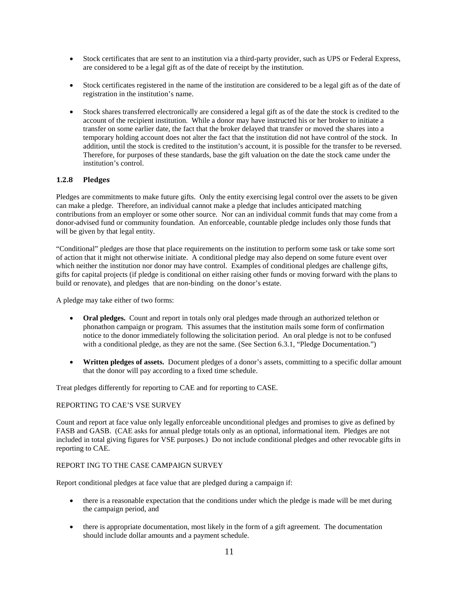- Stock certificates that are sent to an institution via a third-party provider, such as UPS or Federal Express, are considered to be a legal gift as of the date of receipt by the institution.
- Stock certificates registered in the name of the institution are considered to be a legal gift as of the date of registration in the institution's name.
- Stock shares transferred electronically are considered a legal gift as of the date the stock is credited to the account of the recipient institution. While a donor may have instructed his or her broker to initiate a transfer on some earlier date, the fact that the broker delayed that transfer or moved the shares into a temporary holding account does not alter the fact that the institution did not have control of the stock. In addition, until the stock is credited to the institution's account, it is possible for the transfer to be reversed. Therefore, for purposes of these standards, base the gift valuation on the date the stock came under the institution's control.

# <span id="page-11-0"></span>**1.2.8 Pledges**

Pledges are commitments to make future gifts. Only the entity exercising legal control over the assets to be given can make a pledge. Therefore, an individual cannot make a pledge that includes anticipated matching contributions from an employer or some other source. Nor can an individual commit funds that may come from a donor-advised fund or community foundation. An enforceable, countable pledge includes only those funds that will be given by that legal entity.

"Conditional" pledges are those that place requirements on the institution to perform some task or take some sort of action that it might not otherwise initiate. A conditional pledge may also depend on some future event over which neither the institution nor donor may have control. Examples of conditional pledges are challenge gifts, gifts for capital projects (if pledge is conditional on either raising other funds or moving forward with the plans to build or renovate), and pledges that are non-binding on the donor's estate.

A pledge may take either of two forms:

- **Oral pledges.** Count and report in totals only oral pledges made through an authorized telethon or phonathon campaign or program. This assumes that the institution mails some form of confirmation notice to the donor immediately following the solicitation period. An oral pledge is not to be confused with a conditional pledge, as they are not the same. (See Section 6.3.1, "Pledge Documentation.")
- **Written pledges of assets.** Document pledges of a donor's assets, committing to a specific dollar amount that the donor will pay according to a fixed time schedule.

Treat pledges differently for reporting to CAE and for reporting to CASE.

# REPORTING TO CAE'S VSE SURVEY

Count and report at face value only legally enforceable unconditional pledges and promises to give as defined by FASB and GASB. (CAE asks for annual pledge totals only as an optional, informational item. Pledges are not included in total giving figures for VSE purposes.) Do not include conditional pledges and other revocable gifts in reporting to CAE.

#### REPORT ING TO THE CASE CAMPAIGN SURVEY

Report conditional pledges at face value that are pledged during a campaign if:

- there is a reasonable expectation that the conditions under which the pledge is made will be met during the campaign period, and
- there is appropriate documentation, most likely in the form of a gift agreement. The documentation should include dollar amounts and a payment schedule.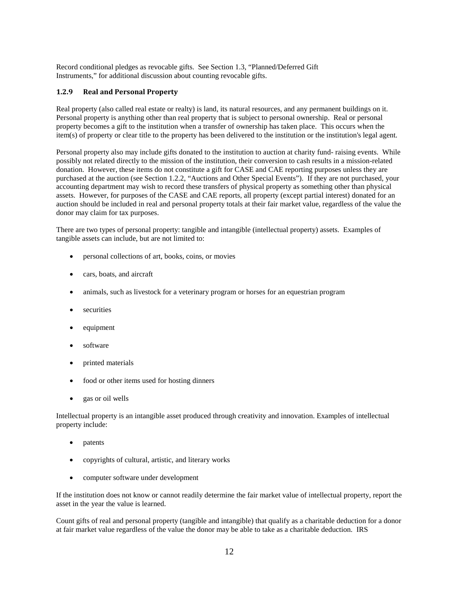Record conditional pledges as revocable gifts. See Section 1.3, "Planned/Deferred Gift Instruments," for additional discussion about counting revocable gifts.

### <span id="page-12-0"></span>**1.2.9 Real and Personal Property**

Real property (also called real estate or realty) is land, its natural resources, and any permanent buildings on it. Personal property is anything other than real property that is subject to personal ownership. Real or personal property becomes a gift to the institution when a transfer of ownership has taken place. This occurs when the item(s) of property or clear title to the property has been delivered to the institution or the institution's legal agent.

Personal property also may include gifts donated to the institution to auction at charity fund- raising events. While possibly not related directly to the mission of the institution, their conversion to cash results in a mission-related donation. However, these items do not constitute a gift for CASE and CAE reporting purposes unless they are purchased at the auction (see Section 1.2.2, "Auctions and Other Special Events"). If they are not purchased, your accounting department may wish to record these transfers of physical property as something other than physical assets. However, for purposes of the CASE and CAE reports, all property (except partial interest) donated for an auction should be included in real and personal property totals at their fair market value, regardless of the value the donor may claim for tax purposes.

There are two types of personal property: tangible and intangible (intellectual property) assets. Examples of tangible assets can include, but are not limited to:

- personal collections of art, books, coins, or movies
- cars, boats, and aircraft
- animals, such as livestock for a veterinary program or horses for an equestrian program
- securities
- equipment
- software
- printed materials
- food or other items used for hosting dinners
- gas or oil wells

Intellectual property is an intangible asset produced through creativity and innovation. Examples of intellectual property include:

- patents
- copyrights of cultural, artistic, and literary works
- computer software under development

If the institution does not know or cannot readily determine the fair market value of intellectual property, report the asset in the year the value is learned.

Count gifts of real and personal property (tangible and intangible) that qualify as a charitable deduction for a donor at fair market value regardless of the value the donor may be able to take as a charitable deduction. IRS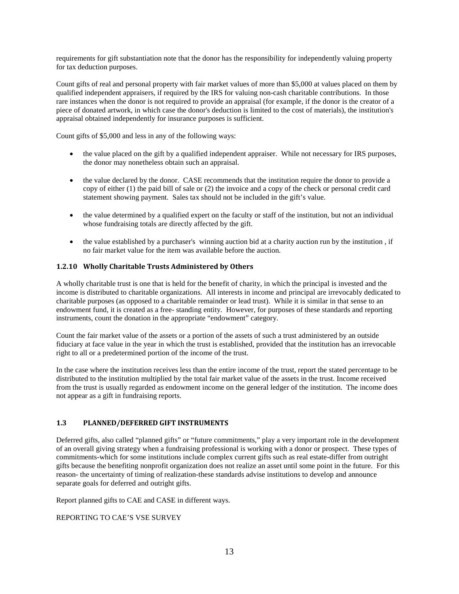requirements for gift substantiation note that the donor has the responsibility for independently valuing property for tax deduction purposes.

Count gifts of real and personal property with fair market values of more than \$5,000 at values placed on them by qualified independent appraisers, if required by the IRS for valuing non-cash charitable contributions. In those rare instances when the donor is not required to provide an appraisal (for example, if the donor is the creator of a piece of donated artwork, in which case the donor's deduction is limited to the cost of materials), the institution's appraisal obtained independently for insurance purposes is sufficient.

Count gifts of \$5,000 and less in any of the following ways:

- the value placed on the gift by a qualified independent appraiser. While not necessary for IRS purposes, the donor may nonetheless obtain such an appraisal.
- the value declared by the donor. CASE recommends that the institution require the donor to provide a copy of either (1) the paid bill of sale or (2) the invoice and a copy of the check or personal credit card statement showing payment. Sales tax should not be included in the gift's value.
- the value determined by a qualified expert on the faculty or staff of the institution, but not an individual whose fundraising totals are directly affected by the gift.
- the value established by a purchaser's winning auction bid at a charity auction run by the institution, if no fair market value for the item was available before the auction.

# <span id="page-13-0"></span>**1.2.10 Wholly Charitable Trusts Administered by Others**

A wholly charitable trust is one that is held for the benefit of charity, in which the principal is invested and the income is distributed to charitable organizations. All interests in income and principal are irrevocably dedicated to charitable purposes (as opposed to a charitable remainder or lead trust). While it is similar in that sense to an endowment fund, it is created as a free- standing entity. However, for purposes of these standards and reporting instruments, count the donation in the appropriate "endowment" category.

Count the fair market value of the assets or a portion of the assets of such a trust administered by an outside fiduciary at face value in the year in which the trust is established, provided that the institution has an irrevocable right to all or a predetermined portion of the income of the trust.

In the case where the institution receives less than the entire income of the trust, report the stated percentage to be distributed to the institution multiplied by the total fair market value of the assets in the trust. Income received from the trust is usually regarded as endowment income on the general ledger of the institution. The income does not appear as a gift in fundraising reports.

### <span id="page-13-1"></span>**1.3 PLANNED/DEFERRED GIFT INSTRUMENTS**

Deferred gifts, also called "planned gifts" or "future commitments," play a very important role in the development of an overall giving strategy when a fundraising professional is working with a donor or prospect. These types of commitments-which for some institutions include complex current gifts such as real estate-differ from outright gifts because the benefiting nonprofit organization does not realize an asset until some point in the future. For this reason- the uncertainty of timing of realization-these standards advise institutions to develop and announce separate goals for deferred and outright gifts.

Report planned gifts to CAE and CASE in different ways.

### REPORTING TO CAE'S VSE SURVEY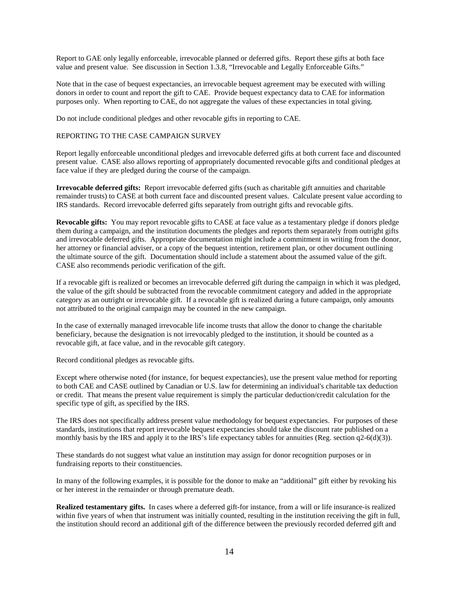Report to GAE only legally enforceable, irrevocable planned or deferred gifts. Report these gifts at both face value and present value. See discussion in Section 1.3.8, "Irrevocable and Legally Enforceable Gifts."

Note that in the case of bequest expectancies, an irrevocable bequest agreement may be executed with willing donors in order to count and report the gift to CAE. Provide bequest expectancy data to CAE for information purposes only. When reporting to CAE, do not aggregate the values of these expectancies in total giving.

Do not include conditional pledges and other revocable gifts in reporting to CAE.

### REPORTING TO THE CASE CAMPAIGN SURVEY

Report legally enforceable unconditional pledges and irrevocable deferred gifts at both current face and discounted present value. CASE also allows reporting of appropriately documented revocable gifts and conditional pledges at face value if they are pledged during the course of the campaign.

**Irrevocable deferred gifts:** Report irrevocable deferred gifts (such as charitable gift annuities and charitable remainder trusts) to CASE at both current face and discounted present values. Calculate present value according to IRS standards. Record irrevocable deferred gifts separately from outright gifts and revocable gifts.

**Revocable gifts:** You may report revocable gifts to CASE at face value as a testamentary pledge if donors pledge them during a campaign, and the institution documents the pledges and reports them separately from outright gifts and irrevocable deferred gifts. Appropriate documentation might include a commitment in writing from the donor, her attorney or financial adviser, or a copy of the bequest intention, retirement plan, or other document outlining the ultimate source of the gift. Documentation should include a statement about the assumed value of the gift. CASE also recommends periodic verification of the gift.

If a revocable gift is realized or becomes an irrevocable deferred gift during the campaign in which it was pledged, the value of the gift should be subtracted from the revocable commitment category and added in the appropriate category as an outright or irrevocable gift. If a revocable gift is realized during a future campaign, only amounts not attributed to the original campaign may be counted in the new campaign.

In the case of externally managed irrevocable life income trusts that allow the donor to change the charitable beneficiary, because the designation is not irrevocably pledged to the institution, it should be counted as a revocable gift, at face value, and in the revocable gift category.

Record conditional pledges as revocable gifts.

Except where otherwise noted (for instance, for bequest expectancies), use the present value method for reporting to both CAE and CASE outlined by Canadian or U.S. law for determining an individual's charitable tax deduction or credit. That means the present value requirement is simply the particular deduction/credit calculation for the specific type of gift, as specified by the IRS.

The IRS does not specifically address present value methodology for bequest expectancies. For purposes of these standards, institutions that report irrevocable bequest expectancies should take the discount rate published on a monthly basis by the IRS and apply it to the IRS's life expectancy tables for annuities (Reg. section  $q2-6(d)(3)$ ).

These standards do not suggest what value an institution may assign for donor recognition purposes or in fundraising reports to their constituencies.

In many of the following examples, it is possible for the donor to make an "additional" gift either by revoking his or her interest in the remainder or through premature death.

**Realized testamentary gifts.** In cases where a deferred gift-for instance, from a will or life insurance-is realized within five years of when that instrument was initially counted, resulting in the institution receiving the gift in full, the institution should record an additional gift of the difference between the previously recorded deferred gift and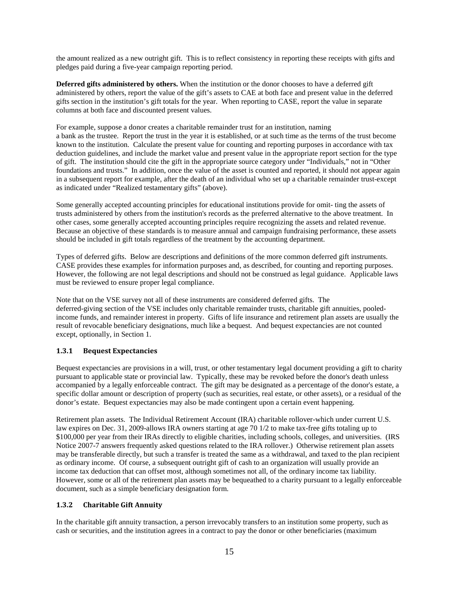the amount realized as a new outright gift. This is to reflect consistency in reporting these receipts with gifts and pledges paid during a five-year campaign reporting period.

**Deferred gifts administered by others.** When the institution or the donor chooses to have a deferred gift administered by others, report the value of the gift's assets to CAE at both face and present value in the deferred gifts section in the institution's gift totals for the year. When reporting to CASE, report the value in separate columns at both face and discounted present values.

For example, suppose a donor creates a charitable remainder trust for an institution, naming a bank as the trustee. Report the trust in the year it is established, or at such time as the terms of the trust become known to the institution. Calculate the present value for counting and reporting purposes in accordance with tax deduction guidelines, and include the market value and present value in the appropriate report section for the type of gift. The institution should cite the gift in the appropriate source category under "Individuals," not in "Other foundations and trusts." In addition, once the value of the asset is counted and reported, it should not appear again in a subsequent report for example, after the death of an individual who set up a charitable remainder trust-except as indicated under "Realized testamentary gifts" (above).

Some generally accepted accounting principles for educational institutions provide for omit- ting the assets of trusts administered by others from the institution's records as the preferred alternative to the above treatment. In other cases, some generally accepted accounting principles require recognizing the assets and related revenue. Because an objective of these standards is to measure annual and campaign fundraising performance, these assets should be included in gift totals regardless of the treatment by the accounting department.

Types of deferred gifts. Below are descriptions and definitions of the more common deferred gift instruments. CASE provides these examples for information purposes and, as described, for counting and reporting purposes. However, the following are not legal descriptions and should not be construed as legal guidance. Applicable laws must be reviewed to ensure proper legal compliance.

Note that on the VSE survey not all of these instruments are considered deferred gifts. The deferred-giving section of the VSE includes only charitable remainder trusts, charitable gift annuities, pooledincome funds, and remainder interest in property. Gifts of life insurance and retirement plan assets are usually the result of revocable beneficiary designations, much like a bequest. And bequest expectancies are not counted except, optionally, in Section 1.

# <span id="page-15-0"></span>**1.3.1 Bequest Expectancies**

Bequest expectancies are provisions in a will, trust, or other testamentary legal document providing a gift to charity pursuant to applicable state or provincial law. Typically, these may be revoked before the donor's death unless accompanied by a legally enforceable contract. The gift may be designated as a percentage of the donor's estate, a specific dollar amount or description of property (such as securities, real estate, or other assets), or a residual of the donor's estate. Bequest expectancies may also be made contingent upon a certain event happening.

Retirement plan assets. The Individual Retirement Account (IRA) charitable rollover-which under current U.S. law expires on Dec. 31, 2009-allows IRA owners starting at age 70 1/2 to make tax-free gifts totaling up to \$100,000 per year from their IRAs directly to eligible charities, including schools, colleges, and universities. (IRS Notice 2007-7 answers frequently asked questions related to the IRA rollover.) Otherwise retirement plan assets may be transferable directly, but such a transfer is treated the same as a withdrawal, and taxed to the plan recipient as ordinary income. Of course, a subsequent outright gift of cash to an organization will usually provide an income tax deduction that can offset most, although sometimes not all, of the ordinary income tax liability. However, some or all of the retirement plan assets may be bequeathed to a charity pursuant to a legally enforceable document, such as a simple beneficiary designation form.

# <span id="page-15-1"></span>**1.3.2 Charitable Gift Annuity**

In the charitable gift annuity transaction, a person irrevocably transfers to an institution some property, such as cash or securities, and the institution agrees in a contract to pay the donor or other beneficiaries (maximum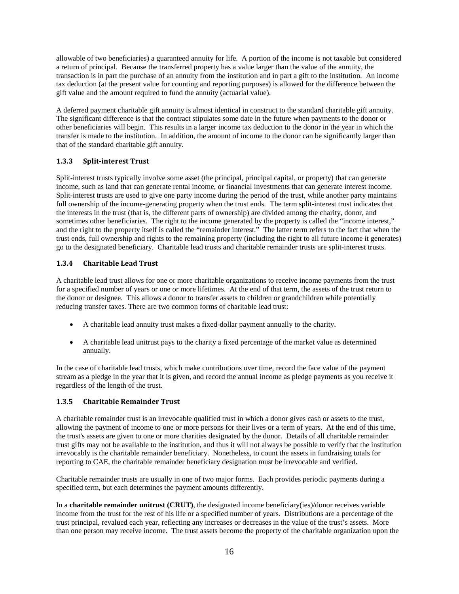allowable of two beneficiaries) a guaranteed annuity for life. A portion of the income is not taxable but considered a return of principal. Because the transferred property has a value larger than the value of the annuity, the transaction is in part the purchase of an annuity from the institution and in part a gift to the institution. An income tax deduction (at the present value for counting and reporting purposes) is allowed for the difference between the gift value and the amount required to fund the annuity (actuarial value).

A deferred payment charitable gift annuity is almost identical in construct to the standard charitable gift annuity. The significant difference is that the contract stipulates some date in the future when payments to the donor or other beneficiaries will begin. This results in a larger income tax deduction to the donor in the year in which the transfer is made to the institution. In addition, the amount of income to the donor can be significantly larger than that of the standard charitable gift annuity.

# <span id="page-16-0"></span>**1.3.3 Split-interest Trust**

Split-interest trusts typically involve some asset (the principal, principal capital, or property) that can generate income, such as land that can generate rental income, or financial investments that can generate interest income. Split-interest trusts are used to give one party income during the period of the trust, while another party maintains full ownership of the income-generating property when the trust ends. The term split-interest trust indicates that the interests in the trust (that is, the different parts of ownership) are divided among the charity, donor, and sometimes other beneficiaries. The right to the income generated by the property is called the "income interest," and the right to the property itself is called the "remainder interest." The latter term refers to the fact that when the trust ends, full ownership and rights to the remaining property (including the right to all future income it generates) go to the designated beneficiary. Charitable lead trusts and charitable remainder trusts are split-interest trusts.

# <span id="page-16-1"></span>**1.3.4 Charitable Lead Trust**

A charitable lead trust allows for one or more charitable organizations to receive income payments from the trust for a specified number of years or one or more lifetimes. At the end of that term, the assets of the trust return to the donor or designee. This allows a donor to transfer assets to children or grandchildren while potentially reducing transfer taxes. There are two common forms of charitable lead trust:

- A charitable lead annuity trust makes a fixed-dollar payment annually to the charity.
- A charitable lead unitrust pays to the charity a fixed percentage of the market value as determined annually.

In the case of charitable lead trusts, which make contributions over time, record the face value of the payment stream as a pledge in the year that it is given, and record the annual income as pledge payments as you receive it regardless of the length of the trust.

# <span id="page-16-2"></span>**1.3.5 Charitable Remainder Trust**

A charitable remainder trust is an irrevocable qualified trust in which a donor gives cash or assets to the trust, allowing the payment of income to one or more persons for their lives or a term of years. At the end of this time, the trust's assets are given to one or more charities designated by the donor. Details of all charitable remainder trust gifts may not be available to the institution, and thus it will not always be possible to verify that the institution irrevocably is the charitable remainder beneficiary. Nonetheless, to count the assets in fundraising totals for reporting to CAE, the charitable remainder beneficiary designation must be irrevocable and verified.

Charitable remainder trusts are usually in one of two major forms. Each provides periodic payments during a specified term, but each determines the payment amounts differently.

In a **charitable remainder unitrust (CRUT)**, the designated income beneficiary(ies)/donor receives variable income from the trust for the rest of his life or a specified number of years. Distributions are a percentage of the trust principal, revalued each year, reflecting any increases or decreases in the value of the trust's assets. More than one person may receive income. The trust assets become the property of the charitable organization upon the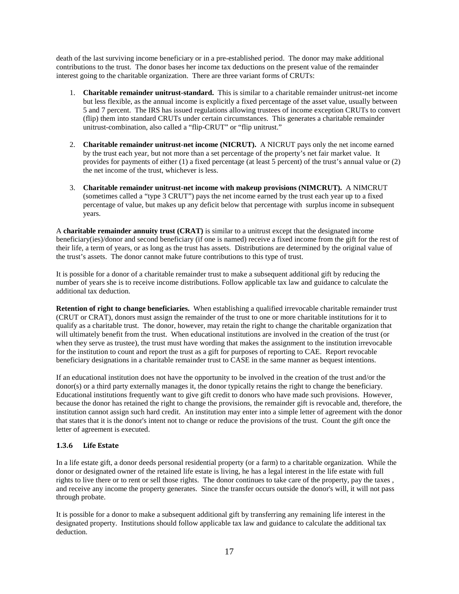death of the last surviving income beneficiary or in a pre-established period. The donor may make additional contributions to the trust. The donor bases her income tax deductions on the present value of the remainder interest going to the charitable organization. There are three variant forms of CRUTs:

- 1. **Charitable remainder unitrust-standard.** This is similar to a charitable remainder unitrust-net income but less flexible, as the annual income is explicitly a fixed percentage of the asset value, usually between 5 and 7 percent. The IRS has issued regulations allowing trustees of income exception CRUTs to convert (flip) them into standard CRUTs under certain circumstances. This generates a charitable remainder unitrust-combination, also called a "flip-CRUT" or "flip unitrust."
- 2. **Charitable remainder unitrust-net income (NICRUT).** A NICRUT pays only the net income earned by the trust each year, but not more than a set percentage of the property's net fair market value. It provides for payments of either (1) a fixed percentage (at least 5 percent) of the trust's annual value or (2) the net income of the trust, whichever is less.
- 3. **Charitable remainder unitrust-net income with makeup provisions (NIMCRUT).** A NIMCRUT (sometimes called a "type 3 CRUT") pays the net income earned by the trust each year up to a fixed percentage of value, but makes up any deficit below that percentage with surplus income in subsequent years.

A **charitable remainder annuity trust (CRAT)** is similar to a unitrust except that the designated income beneficiary(ies)/donor and second beneficiary (if one is named) receive a fixed income from the gift for the rest of their life, a term of years, or as long as the trust has assets. Distributions are determined by the original value of the trust's assets. The donor cannot make future contributions to this type of trust.

It is possible for a donor of a charitable remainder trust to make a subsequent additional gift by reducing the number of years she is to receive income distributions. Follow applicable tax law and guidance to calculate the additional tax deduction.

**Retention of right to change beneficiaries.** When establishing a qualified irrevocable charitable remainder trust (CRUT or CRAT), donors must assign the remainder of the trust to one or more charitable institutions for it to qualify as a charitable trust. The donor, however, may retain the right to change the charitable organization that will ultimately benefit from the trust. When educational institutions are involved in the creation of the trust (or when they serve as trustee), the trust must have wording that makes the assignment to the institution irrevocable for the institution to count and report the trust as a gift for purposes of reporting to CAE. Report revocable beneficiary designations in a charitable remainder trust to CASE in the same manner as bequest intentions.

If an educational institution does not have the opportunity to be involved in the creation of the trust and/or the donor(s) or a third party externally manages it, the donor typically retains the right to change the beneficiary. Educational institutions frequently want to give gift credit to donors who have made such provisions. However, because the donor has retained the right to change the provisions, the remainder gift is revocable and, therefore, the institution cannot assign such hard credit. An institution may enter into a simple letter of agreement with the donor that states that it is the donor's intent not to change or reduce the provisions of the trust. Count the gift once the letter of agreement is executed.

# <span id="page-17-0"></span>**1.3.6 Life Estate**

In a life estate gift, a donor deeds personal residential property (or a farm) to a charitable organization. While the donor or designated owner of the retained life estate is living, he has a legal interest in the life estate with full rights to live there or to rent or sell those rights. The donor continues to take care of the property, pay the taxes , and receive any income the property generates. Since the transfer occurs outside the donor's will, it will not pass through probate.

It is possible for a donor to make a subsequent additional gift by transferring any remaining life interest in the designated property. Institutions should follow applicable tax law and guidance to calculate the additional tax deduction.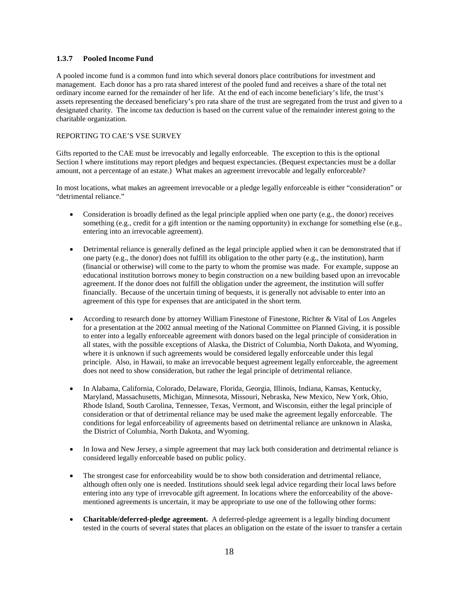### <span id="page-18-0"></span>**1.3.7 Pooled Income Fund**

A pooled income fund is a common fund into which several donors place contributions for investment and management. Each donor has a pro rata shared interest of the pooled fund and receives a share of the total net ordinary income earned for the remainder of her life. At the end of each income beneficiary's life, the trust's assets representing the deceased beneficiary's pro rata share of the trust are segregated from the trust and given to a designated charity. The income tax deduction is based on the current value of the remainder interest going to the charitable organization.

### REPORTING TO CAE'S VSE SURVEY

Gifts reported to the CAE must be irrevocably and legally enforceable. The exception to this is the optional Section I where institutions may report pledges and bequest expectancies. (Bequest expectancies must be a dollar amount, not a percentage of an estate.) What makes an agreement irrevocable and legally enforceable?

In most locations, what makes an agreement irrevocable or a pledge legally enforceable is either "consideration" or "detrimental reliance."

- Consideration is broadly defined as the legal principle applied when one party (e.g., the donor) receives something (e.g., credit for a gift intention or the naming opportunity) in exchange for something else (e.g., entering into an irrevocable agreement).
- Detrimental reliance is generally defined as the legal principle applied when it can be demonstrated that if one party (e.g., the donor) does not fulfill its obligation to the other party (e.g., the institution), harm (financial or otherwise) will come to the party to whom the promise was made. For example, suppose an educational institution borrows money to begin construction on a new building based upon an irrevocable agreement. If the donor does not fulfill the obligation under the agreement, the institution will suffer financially. Because of the uncertain timing of bequests, it is generally not advisable to enter into an agreement of this type for expenses that are anticipated in the short term.
- According to research done by attorney William Finestone of Finestone, Richter & Vital of Los Angeles for a presentation at the 2002 annual meeting of the National Committee on Planned Giving, it is possible to enter into a legally enforceable agreement with donors based on the legal principle of consideration in all states, with the possible exceptions of Alaska, the District of Columbia, North Dakota, and Wyoming, where it is unknown if such agreements would be considered legally enforceable under this legal principle. Also, in Hawaii, to make an irrevocable bequest agreement legally enforceable, the agreement does not need to show consideration, but rather the legal principle of detrimental reliance.
- In Alabama, California, Colorado, Delaware, Florida, Georgia, Illinois, Indiana, Kansas, Kentucky, Maryland, Massachusetts, Michigan, Minnesota, Missouri, Nebraska, New Mexico, New York, Ohio, Rhode Island, South Carolina, Tennessee, Texas, Vermont, and Wisconsin, either the legal principle of consideration or that of detrimental reliance may be used make the agreement legally enforceable. The conditions for legal enforceability of agreements based on detrimental reliance are unknown in Alaska, the District of Columbia, North Dakota, and Wyoming.
- In Iowa and New Jersey, a simple agreement that may lack both consideration and detrimental reliance is considered legally enforceable based on public policy.
- The strongest case for enforceability would be to show both consideration and detrimental reliance, although often only one is needed. Institutions should seek legal advice regarding their local laws before entering into any type of irrevocable gift agreement. In locations where the enforceability of the abovementioned agreements is uncertain, it may be appropriate to use one of the following other forms:
- **Charitable/deferred-pledge agreement.** A deferred-pledge agreement is a legally binding document tested in the courts of several states that places an obligation on the estate of the issuer to transfer a certain